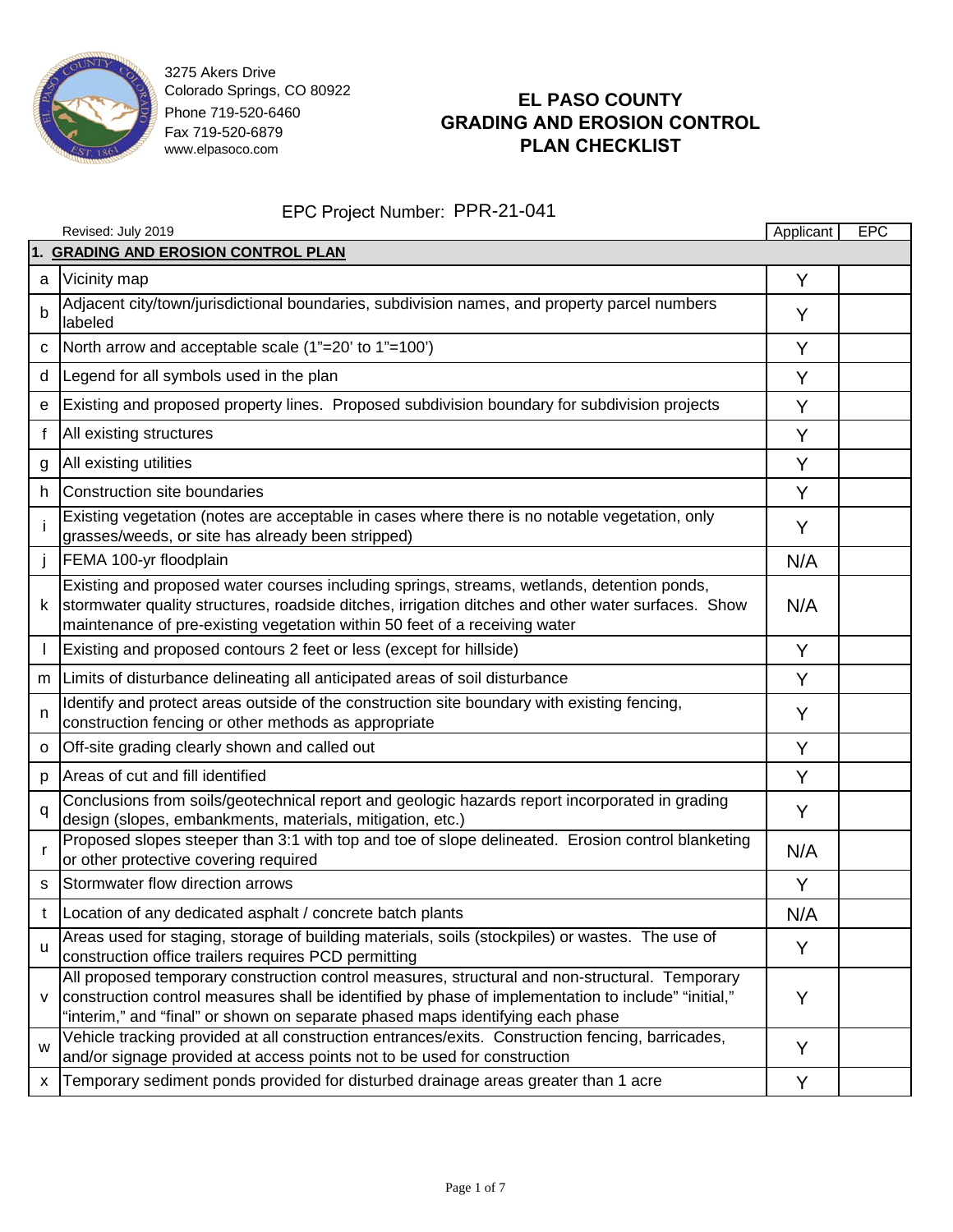

# **EL PASO COUNTY GRADING AND EROSION CONTROL PLAN CHECKLIST**

|          | Revised: July 2019                                                                                                                                                                                                                                                                      | Applicant | <b>EPC</b> |  |  |  |
|----------|-----------------------------------------------------------------------------------------------------------------------------------------------------------------------------------------------------------------------------------------------------------------------------------------|-----------|------------|--|--|--|
|          | 1. GRADING AND EROSION CONTROL PLAN                                                                                                                                                                                                                                                     |           |            |  |  |  |
| a        | Vicinity map                                                                                                                                                                                                                                                                            | Y         |            |  |  |  |
| b        | Adjacent city/town/jurisdictional boundaries, subdivision names, and property parcel numbers<br>labeled                                                                                                                                                                                 | Y         |            |  |  |  |
| c        | North arrow and acceptable scale (1"=20' to 1"=100')                                                                                                                                                                                                                                    | Y         |            |  |  |  |
| d        | Legend for all symbols used in the plan                                                                                                                                                                                                                                                 | Y         |            |  |  |  |
| e        | Existing and proposed property lines. Proposed subdivision boundary for subdivision projects                                                                                                                                                                                            | Y         |            |  |  |  |
| f        | All existing structures                                                                                                                                                                                                                                                                 | Y         |            |  |  |  |
| g        | All existing utilities                                                                                                                                                                                                                                                                  | Y         |            |  |  |  |
| h        | Construction site boundaries                                                                                                                                                                                                                                                            | Y         |            |  |  |  |
|          | Existing vegetation (notes are acceptable in cases where there is no notable vegetation, only<br>grasses/weeds, or site has already been stripped)                                                                                                                                      | Y         |            |  |  |  |
|          | FEMA 100-yr floodplain                                                                                                                                                                                                                                                                  | N/A       |            |  |  |  |
| k        | Existing and proposed water courses including springs, streams, wetlands, detention ponds,<br>stormwater quality structures, roadside ditches, irrigation ditches and other water surfaces. Show<br>maintenance of pre-existing vegetation within 50 feet of a receiving water          | N/A       |            |  |  |  |
|          | Existing and proposed contours 2 feet or less (except for hillside)                                                                                                                                                                                                                     | Y         |            |  |  |  |
| m        | Limits of disturbance delineating all anticipated areas of soil disturbance                                                                                                                                                                                                             | Y         |            |  |  |  |
| n        | Identify and protect areas outside of the construction site boundary with existing fencing,<br>construction fencing or other methods as appropriate                                                                                                                                     | Y         |            |  |  |  |
| o        | Off-site grading clearly shown and called out                                                                                                                                                                                                                                           | Y         |            |  |  |  |
| p        | Areas of cut and fill identified                                                                                                                                                                                                                                                        | Y         |            |  |  |  |
| q        | Conclusions from soils/geotechnical report and geologic hazards report incorporated in grading<br>design (slopes, embankments, materials, mitigation, etc.)                                                                                                                             | Y         |            |  |  |  |
| <b>r</b> | Proposed slopes steeper than 3:1 with top and toe of slope delineated. Erosion control blanketing<br>or other protective covering required                                                                                                                                              | N/A       |            |  |  |  |
| S        | Stormwater flow direction arrows                                                                                                                                                                                                                                                        | Y         |            |  |  |  |
| t        | Location of any dedicated asphalt / concrete batch plants                                                                                                                                                                                                                               | N/A       |            |  |  |  |
| u        | Areas used for staging, storage of building materials, soils (stockpiles) or wastes. The use of<br>construction office trailers requires PCD permitting                                                                                                                                 | Y         |            |  |  |  |
| v        | All proposed temporary construction control measures, structural and non-structural. Temporary<br>construction control measures shall be identified by phase of implementation to include" "initial,"<br>"interim," and "final" or shown on separate phased maps identifying each phase | Y         |            |  |  |  |
| W        | Vehicle tracking provided at all construction entrances/exits. Construction fencing, barricades,<br>and/or signage provided at access points not to be used for construction                                                                                                            | Y         |            |  |  |  |
| х        | Temporary sediment ponds provided for disturbed drainage areas greater than 1 acre                                                                                                                                                                                                      | Y         |            |  |  |  |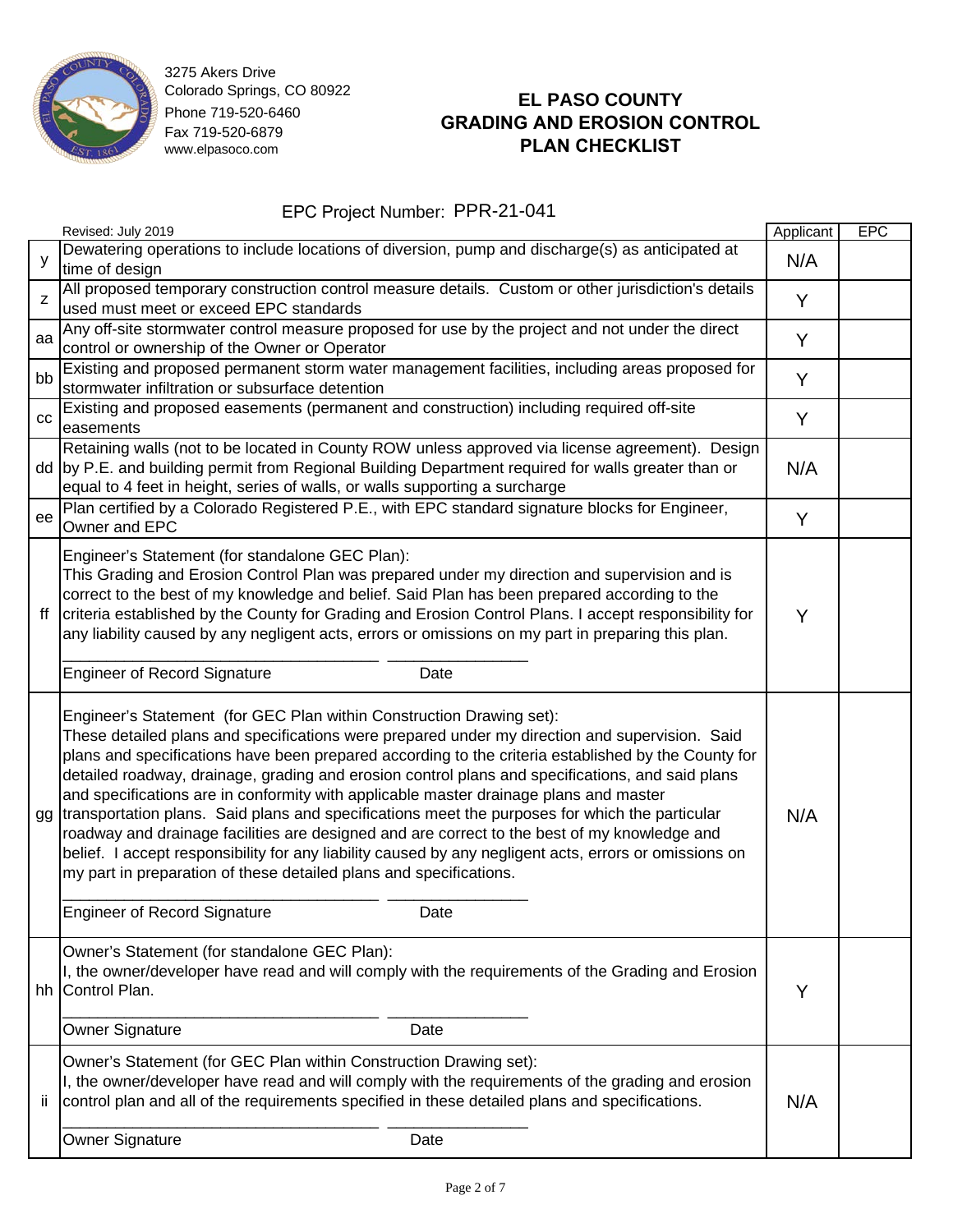

# **EL PASO COUNTY GRADING AND EROSION CONTROL PLAN CHECKLIST**

|    | Revised: July 2019                                                                                                                                                                                                                                                                                                                                                                                                                                                                                                                                                                                                                                                                                                                                                                                                                                                                                          | Applicant | <b>EPC</b> |
|----|-------------------------------------------------------------------------------------------------------------------------------------------------------------------------------------------------------------------------------------------------------------------------------------------------------------------------------------------------------------------------------------------------------------------------------------------------------------------------------------------------------------------------------------------------------------------------------------------------------------------------------------------------------------------------------------------------------------------------------------------------------------------------------------------------------------------------------------------------------------------------------------------------------------|-----------|------------|
| у  | Dewatering operations to include locations of diversion, pump and discharge(s) as anticipated at<br>time of design                                                                                                                                                                                                                                                                                                                                                                                                                                                                                                                                                                                                                                                                                                                                                                                          | N/A       |            |
| Z  | All proposed temporary construction control measure details. Custom or other jurisdiction's details<br>used must meet or exceed EPC standards                                                                                                                                                                                                                                                                                                                                                                                                                                                                                                                                                                                                                                                                                                                                                               | Y         |            |
| aa | Any off-site stormwater control measure proposed for use by the project and not under the direct<br>control or ownership of the Owner or Operator                                                                                                                                                                                                                                                                                                                                                                                                                                                                                                                                                                                                                                                                                                                                                           | Y         |            |
| bb | Existing and proposed permanent storm water management facilities, including areas proposed for<br>stormwater infiltration or subsurface detention                                                                                                                                                                                                                                                                                                                                                                                                                                                                                                                                                                                                                                                                                                                                                          | Y         |            |
| CC | Existing and proposed easements (permanent and construction) including required off-site<br>easements                                                                                                                                                                                                                                                                                                                                                                                                                                                                                                                                                                                                                                                                                                                                                                                                       | Y         |            |
|    | Retaining walls (not to be located in County ROW unless approved via license agreement). Design<br>dd  by P.E. and building permit from Regional Building Department required for walls greater than or<br>equal to 4 feet in height, series of walls, or walls supporting a surcharge                                                                                                                                                                                                                                                                                                                                                                                                                                                                                                                                                                                                                      | N/A       |            |
| ee | Plan certified by a Colorado Registered P.E., with EPC standard signature blocks for Engineer,<br>Owner and EPC                                                                                                                                                                                                                                                                                                                                                                                                                                                                                                                                                                                                                                                                                                                                                                                             |           |            |
| ff | Engineer's Statement (for standalone GEC Plan):<br>This Grading and Erosion Control Plan was prepared under my direction and supervision and is<br>correct to the best of my knowledge and belief. Said Plan has been prepared according to the<br>criteria established by the County for Grading and Erosion Control Plans. I accept responsibility for<br>any liability caused by any negligent acts, errors or omissions on my part in preparing this plan.                                                                                                                                                                                                                                                                                                                                                                                                                                              | Y         |            |
|    | <b>Engineer of Record Signature</b><br>Date                                                                                                                                                                                                                                                                                                                                                                                                                                                                                                                                                                                                                                                                                                                                                                                                                                                                 |           |            |
| gg | Engineer's Statement (for GEC Plan within Construction Drawing set):<br>These detailed plans and specifications were prepared under my direction and supervision. Said<br>plans and specifications have been prepared according to the criteria established by the County for<br>detailed roadway, drainage, grading and erosion control plans and specifications, and said plans<br>and specifications are in conformity with applicable master drainage plans and master<br>transportation plans. Said plans and specifications meet the purposes for which the particular<br>roadway and drainage facilities are designed and are correct to the best of my knowledge and<br>belief. I accept responsibility for any liability caused by any negligent acts, errors or omissions on<br>my part in preparation of these detailed plans and specifications.<br><b>Engineer of Record Signature</b><br>Date | N/A       |            |
| hh | Owner's Statement (for standalone GEC Plan):<br>I, the owner/developer have read and will comply with the requirements of the Grading and Erosion<br>Control Plan.<br>Owner Signature<br>Date                                                                                                                                                                                                                                                                                                                                                                                                                                                                                                                                                                                                                                                                                                               |           |            |
|    | Owner's Statement (for GEC Plan within Construction Drawing set):                                                                                                                                                                                                                                                                                                                                                                                                                                                                                                                                                                                                                                                                                                                                                                                                                                           |           |            |
| Ϊİ | I, the owner/developer have read and will comply with the requirements of the grading and erosion<br>control plan and all of the requirements specified in these detailed plans and specifications.                                                                                                                                                                                                                                                                                                                                                                                                                                                                                                                                                                                                                                                                                                         | N/A       |            |
|    | Owner Signature<br>Date                                                                                                                                                                                                                                                                                                                                                                                                                                                                                                                                                                                                                                                                                                                                                                                                                                                                                     |           |            |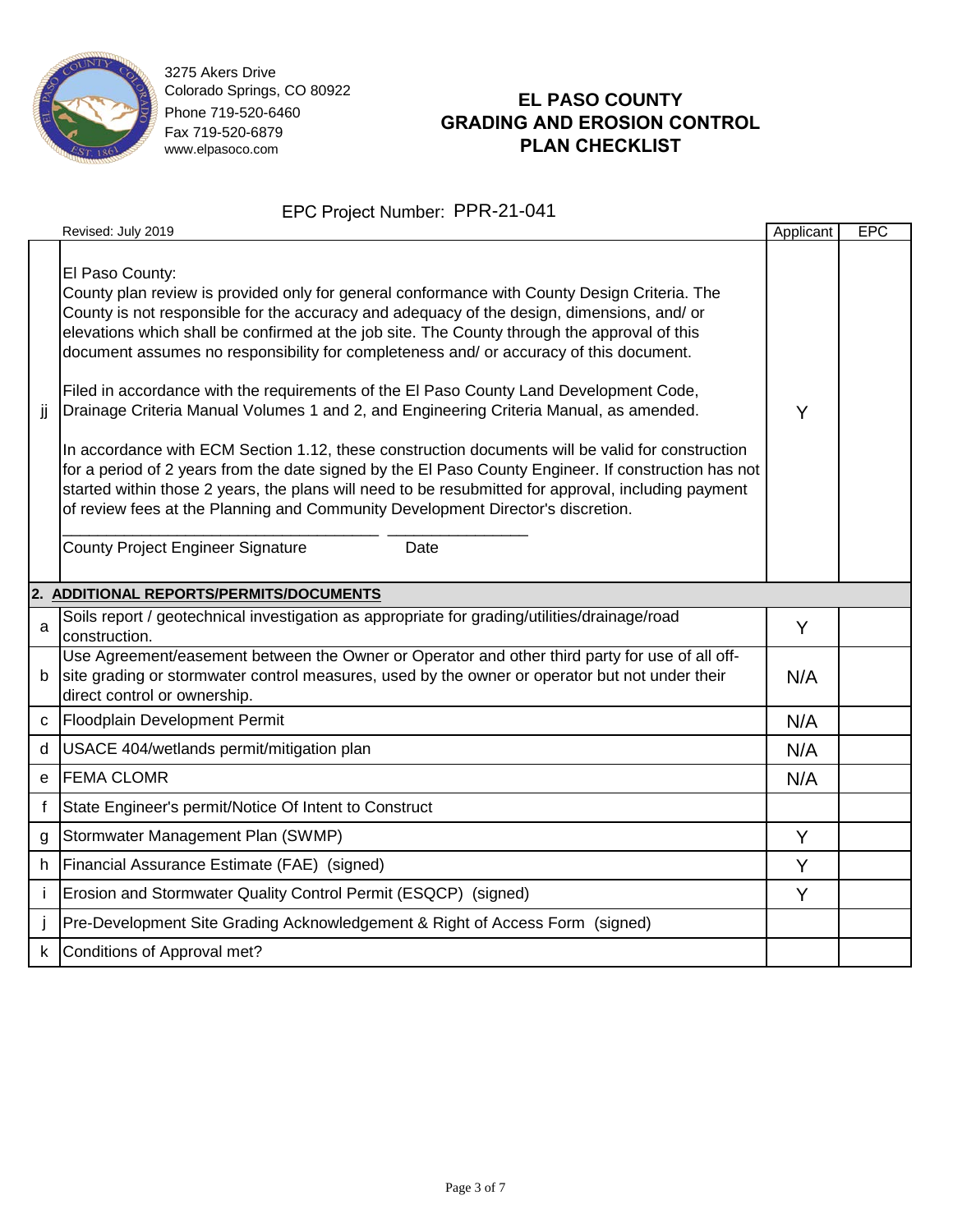

# **EL PASO COUNTY GRADING AND EROSION CONTROL PLAN CHECKLIST**

|              | Revised: July 2019                                                                                                                                                                                                                                                                                                                                                                                                                                                                                                                                                                                                                                                                                                                                                                                                                                                                                                                                                                                                                             | Applicant | <b>EPC</b> |
|--------------|------------------------------------------------------------------------------------------------------------------------------------------------------------------------------------------------------------------------------------------------------------------------------------------------------------------------------------------------------------------------------------------------------------------------------------------------------------------------------------------------------------------------------------------------------------------------------------------------------------------------------------------------------------------------------------------------------------------------------------------------------------------------------------------------------------------------------------------------------------------------------------------------------------------------------------------------------------------------------------------------------------------------------------------------|-----------|------------|
| jj           | El Paso County:<br>County plan review is provided only for general conformance with County Design Criteria. The<br>County is not responsible for the accuracy and adequacy of the design, dimensions, and/ or<br>elevations which shall be confirmed at the job site. The County through the approval of this<br>document assumes no responsibility for completeness and/ or accuracy of this document.<br>Filed in accordance with the requirements of the El Paso County Land Development Code,<br>Drainage Criteria Manual Volumes 1 and 2, and Engineering Criteria Manual, as amended.<br>In accordance with ECM Section 1.12, these construction documents will be valid for construction<br>for a period of 2 years from the date signed by the El Paso County Engineer. If construction has not<br>started within those 2 years, the plans will need to be resubmitted for approval, including payment<br>of review fees at the Planning and Community Development Director's discretion.<br>County Project Engineer Signature<br>Date | Y         |            |
|              | 2. ADDITIONAL REPORTS/PERMITS/DOCUMENTS                                                                                                                                                                                                                                                                                                                                                                                                                                                                                                                                                                                                                                                                                                                                                                                                                                                                                                                                                                                                        |           |            |
| a            | Soils report / geotechnical investigation as appropriate for grading/utilities/drainage/road<br>construction.                                                                                                                                                                                                                                                                                                                                                                                                                                                                                                                                                                                                                                                                                                                                                                                                                                                                                                                                  | Y         |            |
| b            | Use Agreement/easement between the Owner or Operator and other third party for use of all off-<br>site grading or stormwater control measures, used by the owner or operator but not under their<br>direct control or ownership.                                                                                                                                                                                                                                                                                                                                                                                                                                                                                                                                                                                                                                                                                                                                                                                                               | N/A       |            |
|              | c Floodplain Development Permit                                                                                                                                                                                                                                                                                                                                                                                                                                                                                                                                                                                                                                                                                                                                                                                                                                                                                                                                                                                                                | N/A       |            |
|              | d   USACE 404/wetlands permit/mitigation plan                                                                                                                                                                                                                                                                                                                                                                                                                                                                                                                                                                                                                                                                                                                                                                                                                                                                                                                                                                                                  | N/A       |            |
|              | e FEMA CLOMR                                                                                                                                                                                                                                                                                                                                                                                                                                                                                                                                                                                                                                                                                                                                                                                                                                                                                                                                                                                                                                   | N/A       |            |
| $\mathsf{f}$ | State Engineer's permit/Notice Of Intent to Construct                                                                                                                                                                                                                                                                                                                                                                                                                                                                                                                                                                                                                                                                                                                                                                                                                                                                                                                                                                                          |           |            |
| g            | Stormwater Management Plan (SWMP)                                                                                                                                                                                                                                                                                                                                                                                                                                                                                                                                                                                                                                                                                                                                                                                                                                                                                                                                                                                                              | Y         |            |
| h.           | Financial Assurance Estimate (FAE) (signed)                                                                                                                                                                                                                                                                                                                                                                                                                                                                                                                                                                                                                                                                                                                                                                                                                                                                                                                                                                                                    | Y         |            |
| j.           | Erosion and Stormwater Quality Control Permit (ESQCP) (signed)                                                                                                                                                                                                                                                                                                                                                                                                                                                                                                                                                                                                                                                                                                                                                                                                                                                                                                                                                                                 | Y         |            |
|              | Pre-Development Site Grading Acknowledgement & Right of Access Form (signed)                                                                                                                                                                                                                                                                                                                                                                                                                                                                                                                                                                                                                                                                                                                                                                                                                                                                                                                                                                   |           |            |
| $\mathsf{k}$ | Conditions of Approval met?                                                                                                                                                                                                                                                                                                                                                                                                                                                                                                                                                                                                                                                                                                                                                                                                                                                                                                                                                                                                                    |           |            |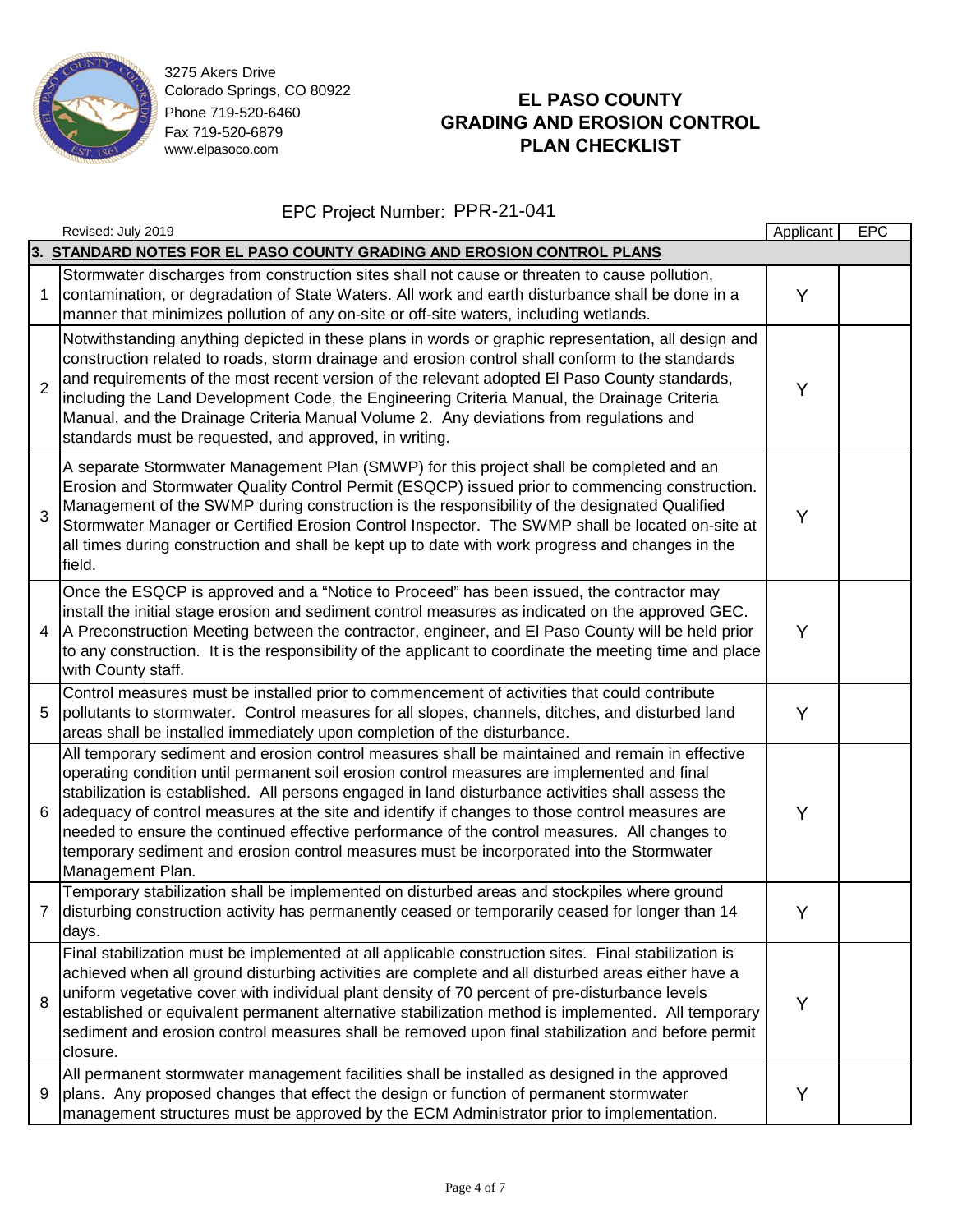

# **EL PASO COUNTY GRADING AND EROSION CONTROL PLAN CHECKLIST**

|                | Revised: July 2019                                                                                                                                                                                                                                                                                                                                                                                                                                                                                                                                                                                                    | Applicant | <b>EPC</b> |  |  |  |
|----------------|-----------------------------------------------------------------------------------------------------------------------------------------------------------------------------------------------------------------------------------------------------------------------------------------------------------------------------------------------------------------------------------------------------------------------------------------------------------------------------------------------------------------------------------------------------------------------------------------------------------------------|-----------|------------|--|--|--|
|                | 3. STANDARD NOTES FOR EL PASO COUNTY GRADING AND EROSION CONTROL PLANS                                                                                                                                                                                                                                                                                                                                                                                                                                                                                                                                                |           |            |  |  |  |
| 1              | Stormwater discharges from construction sites shall not cause or threaten to cause pollution,<br>contamination, or degradation of State Waters. All work and earth disturbance shall be done in a<br>manner that minimizes pollution of any on-site or off-site waters, including wetlands.                                                                                                                                                                                                                                                                                                                           | Y         |            |  |  |  |
| $\overline{2}$ | Notwithstanding anything depicted in these plans in words or graphic representation, all design and<br>construction related to roads, storm drainage and erosion control shall conform to the standards<br>and requirements of the most recent version of the relevant adopted El Paso County standards,<br>including the Land Development Code, the Engineering Criteria Manual, the Drainage Criteria<br>Manual, and the Drainage Criteria Manual Volume 2. Any deviations from regulations and<br>standards must be requested, and approved, in writing.                                                           | Y         |            |  |  |  |
| 3              | A separate Stormwater Management Plan (SMWP) for this project shall be completed and an<br>Erosion and Stormwater Quality Control Permit (ESQCP) issued prior to commencing construction.<br>Management of the SWMP during construction is the responsibility of the designated Qualified<br>Stormwater Manager or Certified Erosion Control Inspector. The SWMP shall be located on-site at<br>all times during construction and shall be kept up to date with work progress and changes in the<br>field.                                                                                                            | Y         |            |  |  |  |
| $\overline{4}$ | Once the ESQCP is approved and a "Notice to Proceed" has been issued, the contractor may<br>install the initial stage erosion and sediment control measures as indicated on the approved GEC.<br>A Preconstruction Meeting between the contractor, engineer, and El Paso County will be held prior<br>to any construction. It is the responsibility of the applicant to coordinate the meeting time and place<br>with County staff.                                                                                                                                                                                   | Y         |            |  |  |  |
| 5              | Control measures must be installed prior to commencement of activities that could contribute<br>pollutants to stormwater. Control measures for all slopes, channels, ditches, and disturbed land<br>areas shall be installed immediately upon completion of the disturbance.                                                                                                                                                                                                                                                                                                                                          | Y         |            |  |  |  |
| 6              | All temporary sediment and erosion control measures shall be maintained and remain in effective<br>operating condition until permanent soil erosion control measures are implemented and final<br>stabilization is established. All persons engaged in land disturbance activities shall assess the<br>adequacy of control measures at the site and identify if changes to those control measures are<br>needed to ensure the continued effective performance of the control measures. All changes to<br>temporary sediment and erosion control measures must be incorporated into the Stormwater<br>Management Plan. | Y         |            |  |  |  |
| 7              | Temporary stabilization shall be implemented on disturbed areas and stockpiles where ground<br>disturbing construction activity has permanently ceased or temporarily ceased for longer than 14<br>days.                                                                                                                                                                                                                                                                                                                                                                                                              | Y         |            |  |  |  |
| 8              | Final stabilization must be implemented at all applicable construction sites. Final stabilization is<br>achieved when all ground disturbing activities are complete and all disturbed areas either have a<br>uniform vegetative cover with individual plant density of 70 percent of pre-disturbance levels<br>established or equivalent permanent alternative stabilization method is implemented. All temporary<br>sediment and erosion control measures shall be removed upon final stabilization and before permit<br>closure.                                                                                    | Y         |            |  |  |  |
| 9              | All permanent stormwater management facilities shall be installed as designed in the approved<br>plans. Any proposed changes that effect the design or function of permanent stormwater<br>management structures must be approved by the ECM Administrator prior to implementation.                                                                                                                                                                                                                                                                                                                                   | Υ         |            |  |  |  |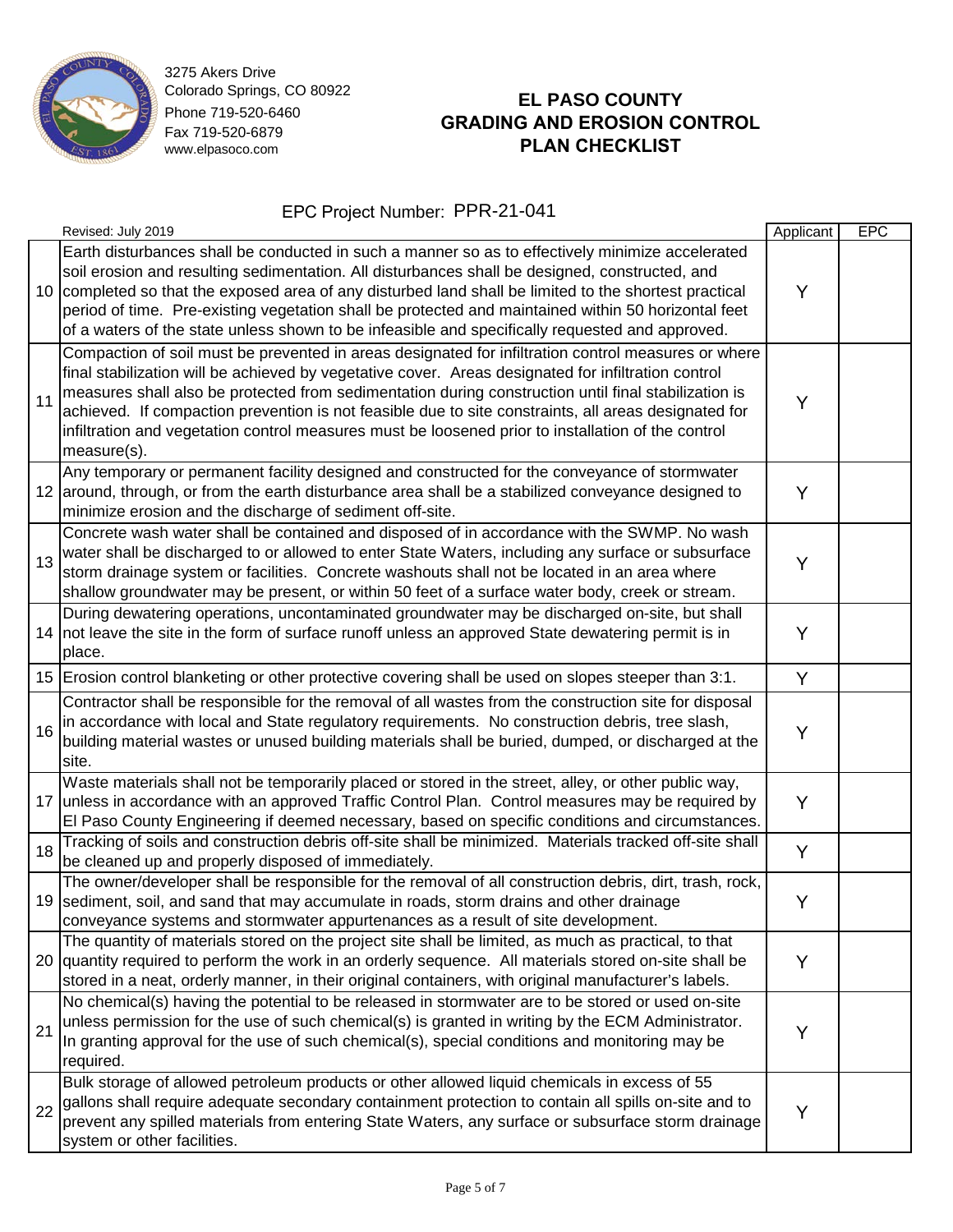

# **EL PASO COUNTY GRADING AND EROSION CONTROL PLAN CHECKLIST**

|    | Revised: July 2019                                                                                                                                                                                                                                                                                                                                                                                                                                                                                                                              | Applicant | <b>EPC</b> |
|----|-------------------------------------------------------------------------------------------------------------------------------------------------------------------------------------------------------------------------------------------------------------------------------------------------------------------------------------------------------------------------------------------------------------------------------------------------------------------------------------------------------------------------------------------------|-----------|------------|
| 10 | Earth disturbances shall be conducted in such a manner so as to effectively minimize accelerated<br>soil erosion and resulting sedimentation. All disturbances shall be designed, constructed, and<br>completed so that the exposed area of any disturbed land shall be limited to the shortest practical<br>period of time. Pre-existing vegetation shall be protected and maintained within 50 horizontal feet<br>of a waters of the state unless shown to be infeasible and specifically requested and approved.                             | Y         |            |
| 11 | Compaction of soil must be prevented in areas designated for infiltration control measures or where<br>final stabilization will be achieved by vegetative cover. Areas designated for infiltration control<br>measures shall also be protected from sedimentation during construction until final stabilization is<br>achieved. If compaction prevention is not feasible due to site constraints, all areas designated for<br>infiltration and vegetation control measures must be loosened prior to installation of the control<br>measure(s). | Y         |            |
|    | Any temporary or permanent facility designed and constructed for the conveyance of stormwater<br>12 around, through, or from the earth disturbance area shall be a stabilized conveyance designed to<br>minimize erosion and the discharge of sediment off-site.                                                                                                                                                                                                                                                                                | Y         |            |
| 13 | Concrete wash water shall be contained and disposed of in accordance with the SWMP. No wash<br>water shall be discharged to or allowed to enter State Waters, including any surface or subsurface<br>storm drainage system or facilities. Concrete washouts shall not be located in an area where<br>shallow groundwater may be present, or within 50 feet of a surface water body, creek or stream.                                                                                                                                            | Y         |            |
| 14 | During dewatering operations, uncontaminated groundwater may be discharged on-site, but shall<br>not leave the site in the form of surface runoff unless an approved State dewatering permit is in<br>place.                                                                                                                                                                                                                                                                                                                                    | Y         |            |
|    | 15 Erosion control blanketing or other protective covering shall be used on slopes steeper than 3:1.                                                                                                                                                                                                                                                                                                                                                                                                                                            | Y         |            |
| 16 | Contractor shall be responsible for the removal of all wastes from the construction site for disposal<br>in accordance with local and State regulatory requirements. No construction debris, tree slash,<br>building material wastes or unused building materials shall be buried, dumped, or discharged at the<br>site.                                                                                                                                                                                                                        | Y         |            |
| 17 | Waste materials shall not be temporarily placed or stored in the street, alley, or other public way,<br>unless in accordance with an approved Traffic Control Plan. Control measures may be required by<br>El Paso County Engineering if deemed necessary, based on specific conditions and circumstances.                                                                                                                                                                                                                                      | Y         |            |
| 18 | Tracking of soils and construction debris off-site shall be minimized. Materials tracked off-site shall<br>be cleaned up and properly disposed of immediately.                                                                                                                                                                                                                                                                                                                                                                                  | Y         |            |
|    | The owner/developer shall be responsible for the removal of all construction debris, dirt, trash, rock,<br>19 sediment, soil, and sand that may accumulate in roads, storm drains and other drainage<br>conveyance systems and stormwater appurtenances as a result of site development.                                                                                                                                                                                                                                                        | Y         |            |
|    | The quantity of materials stored on the project site shall be limited, as much as practical, to that<br>20 quantity required to perform the work in an orderly sequence. All materials stored on-site shall be<br>stored in a neat, orderly manner, in their original containers, with original manufacturer's labels.                                                                                                                                                                                                                          | Y         |            |
| 21 | No chemical(s) having the potential to be released in stormwater are to be stored or used on-site<br>unless permission for the use of such chemical(s) is granted in writing by the ECM Administrator.<br>In granting approval for the use of such chemical(s), special conditions and monitoring may be<br>required.                                                                                                                                                                                                                           | Y         |            |
| 22 | Bulk storage of allowed petroleum products or other allowed liquid chemicals in excess of 55<br>gallons shall require adequate secondary containment protection to contain all spills on-site and to<br>prevent any spilled materials from entering State Waters, any surface or subsurface storm drainage<br>system or other facilities.                                                                                                                                                                                                       | Y         |            |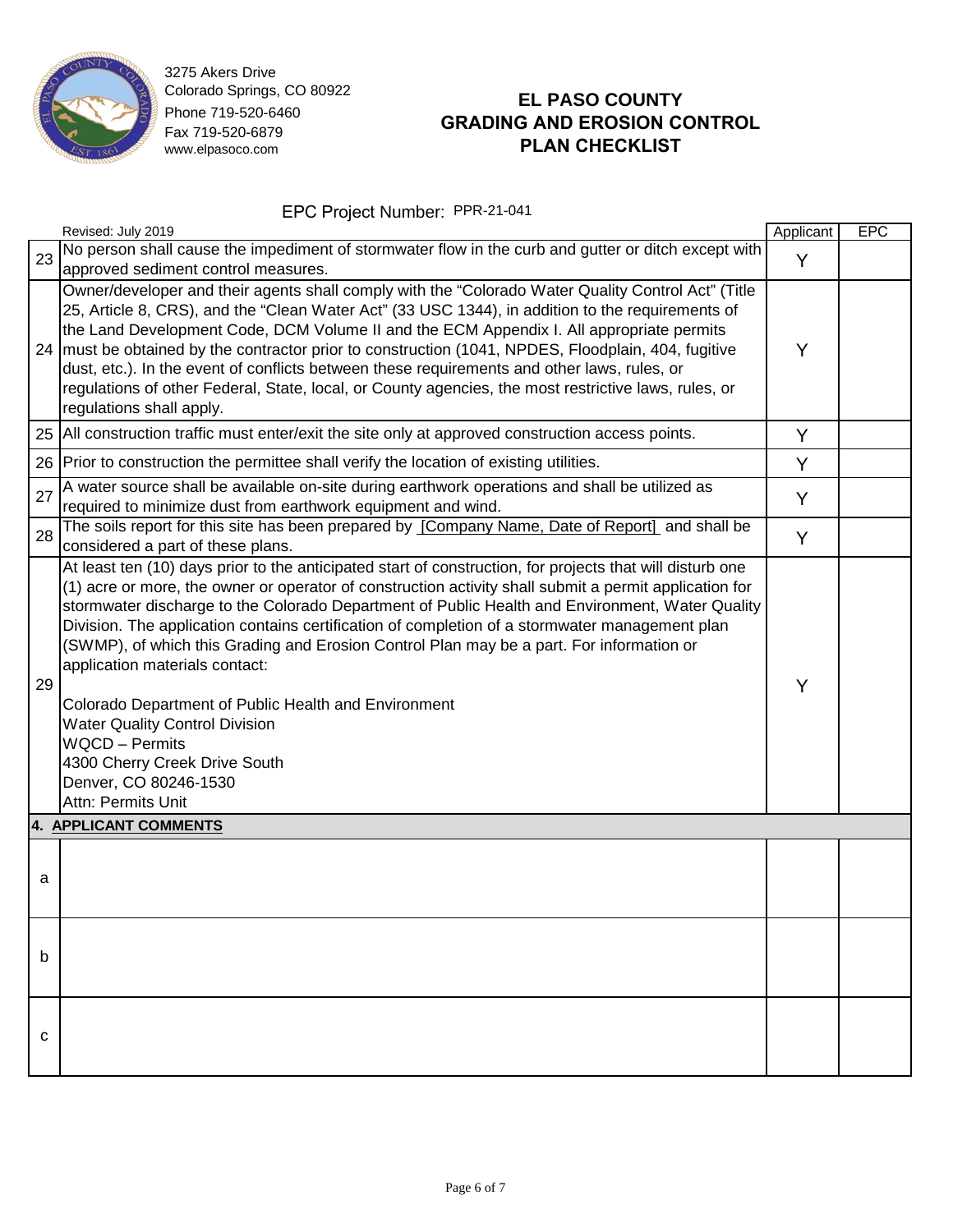

# **EL PASO COUNTY GRADING AND EROSION CONTROL PLAN CHECKLIST**

|    | Revised: July 2019                                                                                                                                                                                                                                                                                                                                                                                                                                                                                                                                                                                                                                                                                                                                               | Applicant | <b>EPC</b> |  |  |  |
|----|------------------------------------------------------------------------------------------------------------------------------------------------------------------------------------------------------------------------------------------------------------------------------------------------------------------------------------------------------------------------------------------------------------------------------------------------------------------------------------------------------------------------------------------------------------------------------------------------------------------------------------------------------------------------------------------------------------------------------------------------------------------|-----------|------------|--|--|--|
| 23 | No person shall cause the impediment of stormwater flow in the curb and gutter or ditch except with<br>approved sediment control measures.                                                                                                                                                                                                                                                                                                                                                                                                                                                                                                                                                                                                                       | Y         |            |  |  |  |
| 24 | Owner/developer and their agents shall comply with the "Colorado Water Quality Control Act" (Title<br>25, Article 8, CRS), and the "Clean Water Act" (33 USC 1344), in addition to the requirements of<br>the Land Development Code, DCM Volume II and the ECM Appendix I. All appropriate permits<br>must be obtained by the contractor prior to construction (1041, NPDES, Floodplain, 404, fugitive<br>dust, etc.). In the event of conflicts between these requirements and other laws, rules, or<br>regulations of other Federal, State, local, or County agencies, the most restrictive laws, rules, or<br>regulations shall apply.                                                                                                                        | Y         |            |  |  |  |
| 25 | All construction traffic must enter/exit the site only at approved construction access points.                                                                                                                                                                                                                                                                                                                                                                                                                                                                                                                                                                                                                                                                   | Y         |            |  |  |  |
| 26 | Prior to construction the permittee shall verify the location of existing utilities.                                                                                                                                                                                                                                                                                                                                                                                                                                                                                                                                                                                                                                                                             | Y         |            |  |  |  |
| 27 | A water source shall be available on-site during earthwork operations and shall be utilized as<br>required to minimize dust from earthwork equipment and wind.                                                                                                                                                                                                                                                                                                                                                                                                                                                                                                                                                                                                   | Y         |            |  |  |  |
| 28 | The soils report for this site has been prepared by [Company Name, Date of Report] and shall be<br>considered a part of these plans.                                                                                                                                                                                                                                                                                                                                                                                                                                                                                                                                                                                                                             | Y         |            |  |  |  |
| 29 | At least ten (10) days prior to the anticipated start of construction, for projects that will disturb one<br>(1) acre or more, the owner or operator of construction activity shall submit a permit application for<br>stormwater discharge to the Colorado Department of Public Health and Environment, Water Quality<br>Division. The application contains certification of completion of a stormwater management plan<br>(SWMP), of which this Grading and Erosion Control Plan may be a part. For information or<br>application materials contact:<br>Colorado Department of Public Health and Environment<br><b>Water Quality Control Division</b><br><b>WQCD - Permits</b><br>4300 Cherry Creek Drive South<br>Denver, CO 80246-1530<br>Attn: Permits Unit | Y         |            |  |  |  |
|    | 4. APPLICANT COMMENTS                                                                                                                                                                                                                                                                                                                                                                                                                                                                                                                                                                                                                                                                                                                                            |           |            |  |  |  |
| a  |                                                                                                                                                                                                                                                                                                                                                                                                                                                                                                                                                                                                                                                                                                                                                                  |           |            |  |  |  |
| b  |                                                                                                                                                                                                                                                                                                                                                                                                                                                                                                                                                                                                                                                                                                                                                                  |           |            |  |  |  |
| с  |                                                                                                                                                                                                                                                                                                                                                                                                                                                                                                                                                                                                                                                                                                                                                                  |           |            |  |  |  |